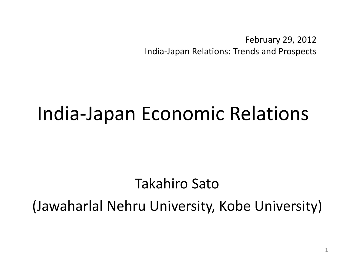February 29, 2012 India-Japan Relations: Trends and Prospects

## India-Japan Economic Relations

### Takahiro Sato

### (Jawaharlal Nehru University, Kobe University)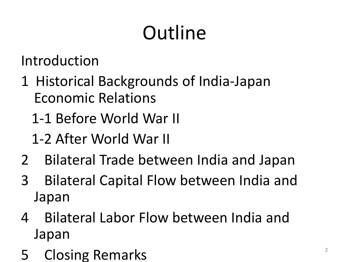# **Outline**

Introduction

- 1 Historical Backgrounds of India-Japan Economic Relations
	- 1-1 Before World War II
	- 1-2 After World War II
- 2 Bilateral Trade between India and Japan
- 3 Bilateral Capital Flow between India and Japan
- 4 Bilateral Labor Flow between India and Japan
- 5 Closing Remarks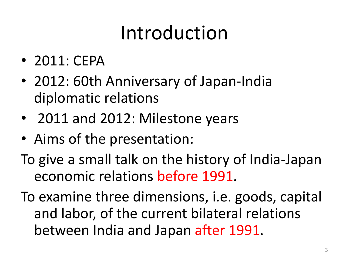# Introduction

- 2011: CEPA
- 2012: 60th Anniversary of Japan-India diplomatic relations
- 2011 and 2012: Milestone years
- Aims of the presentation:
- To give a small talk on the history of India-Japan economic relations before 1991.
- To examine three dimensions, i.e. goods, capital and labor, of the current bilateral relations between India and Japan after 1991.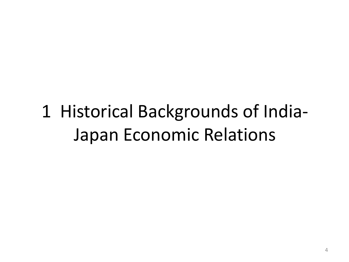## 1 Historical Backgrounds of India-Japan Economic Relations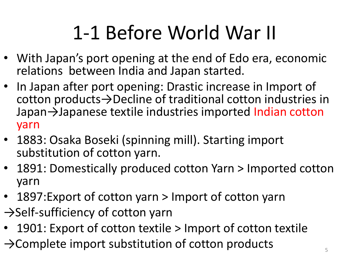# 1-1 Before World War II

- With Japan's port opening at the end of Edo era, economic relations between India and Japan started.
- In Japan after port opening: Drastic increase in Import of cotton products→Decline of traditional cotton industries in Japan→Japanese textile industries imported Indian cotton yarn
- 1883: Osaka Boseki (spinning mill). Starting import substitution of cotton yarn.
- 1891: Domestically produced cotton Yarn > Imported cotton yarn
- 1897: Export of cotton yarn > Import of cotton yarn
- →Self-sufficiency of cotton yarn
- 1901: Export of cotton textile > Import of cotton textile
- $\rightarrow$ Complete import substitution of cotton products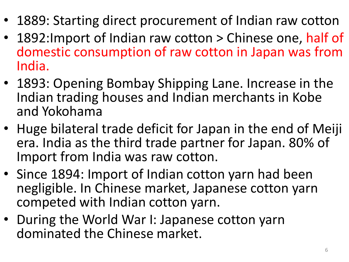- 1889: Starting direct procurement of Indian raw cotton
- 1892: Import of Indian raw cotton > Chinese one, half of domestic consumption of raw cotton in Japan was from India.
- 1893: Opening Bombay Shipping Lane. Increase in the Indian trading houses and Indian merchants in Kobe and Yokohama
- Huge bilateral trade deficit for Japan in the end of Meiji era. India as the third trade partner for Japan. 80% of Import from India was raw cotton.
- Since 1894: Import of Indian cotton yarn had been negligible. In Chinese market, Japanese cotton yarn competed with Indian cotton yarn.
- During the World War I: Japanese cotton yarn dominated the Chinese market.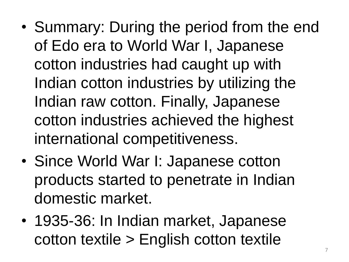- Summary: During the period from the end of Edo era to World War I, Japanese cotton industries had caught up with Indian cotton industries by utilizing the Indian raw cotton. Finally, Japanese cotton industries achieved the highest international competitiveness.
- Since World War I: Japanese cotton products started to penetrate in Indian domestic market.
- 1935-36: In Indian market, Japanese cotton textile > English cotton textile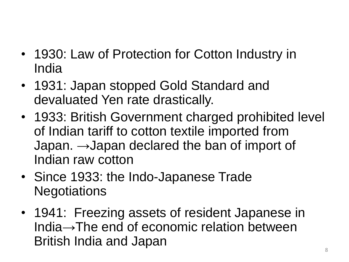- 1930: Law of Protection for Cotton Industry in India
- 1931: Japan stopped Gold Standard and devaluated Yen rate drastically.
- 1933: British Government charged prohibited level of Indian tariff to cotton textile imported from Japan.  $\rightarrow$ Japan declared the ban of import of Indian raw cotton
- Since 1933: the Indo-Japanese Trade **Negotiations**
- 1941: Freezing assets of resident Japanese in India→The end of economic relation between British India and Japan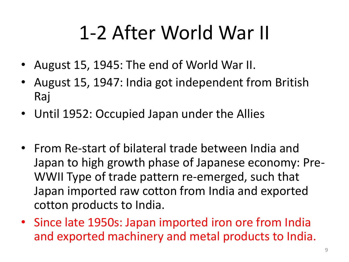## 1-2 After World War II

- August 15, 1945: The end of World War II.
- August 15, 1947: India got independent from British Raj
- Until 1952: Occupied Japan under the Allies
- From Re-start of bilateral trade between India and Japan to high growth phase of Japanese economy: Pre-WWII Type of trade pattern re-emerged, such that Japan imported raw cotton from India and exported cotton products to India.
- Since late 1950s: Japan imported iron ore from India and exported machinery and metal products to India.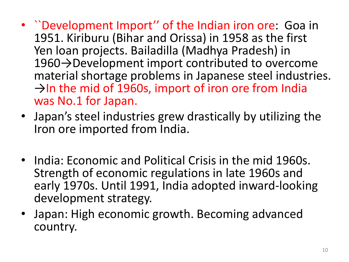- ``Development Import'' of the Indian iron ore: Goa in 1951. Kiriburu (Bihar and Orissa) in 1958 as the first Yen loan projects. Bailadilla (Madhya Pradesh) in 1960→Development import contributed to overcome material shortage problems in Japanese steel industries.  $\rightarrow$ In the mid of 1960s, import of iron ore from India was No.1 for Japan.
- Japan's steel industries grew drastically by utilizing the Iron ore imported from India.
- India: Economic and Political Crisis in the mid 1960s. Strength of economic regulations in late 1960s and early 1970s. Until 1991, India adopted inward-looking development strategy.
- Japan: High economic growth. Becoming advanced country.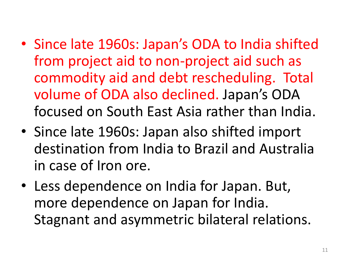- Since late 1960s: Japan's ODA to India shifted from project aid to non-project aid such as commodity aid and debt rescheduling. Total volume of ODA also declined. Japan's ODA focused on South East Asia rather than India.
- Since late 1960s: Japan also shifted import destination from India to Brazil and Australia in case of Iron ore.
- Less dependence on India for Japan. But, more dependence on Japan for India. Stagnant and asymmetric bilateral relations.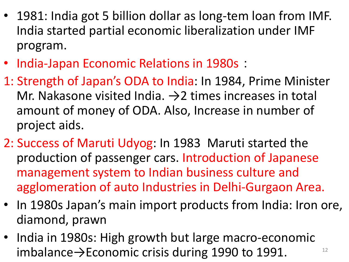- 1981: India got 5 billion dollar as long-tem loan from IMF. India started partial economic liberalization under IMF program.
- India-Japan Economic Relations in 1980s:
- 1: Strength of Japan's ODA to India: In 1984, Prime Minister Mr. Nakasone visited India.  $\rightarrow$  2 times increases in total amount of money of ODA. Also, Increase in number of project aids.
- 2: Success of Maruti Udyog: In 1983 Maruti started the production of passenger cars. Introduction of Japanese management system to Indian business culture and agglomeration of auto Industries in Delhi-Gurgaon Area.
- In 1980s Japan's main import products from India: Iron ore, diamond, prawn
- India in 1980s: High growth but large macro-economic imbalance $\rightarrow$ Economic crisis during 1990 to 1991.  $12$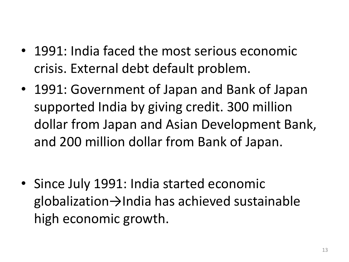- 1991: India faced the most serious economic crisis. External debt default problem.
- 1991: Government of Japan and Bank of Japan supported India by giving credit. 300 million dollar from Japan and Asian Development Bank, and 200 million dollar from Bank of Japan.

• Since July 1991: India started economic globalization→India has achieved sustainable high economic growth.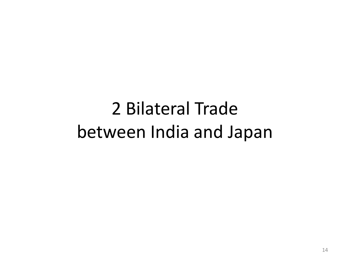## 2 Bilateral Trade between India and Japan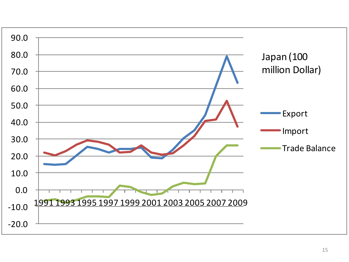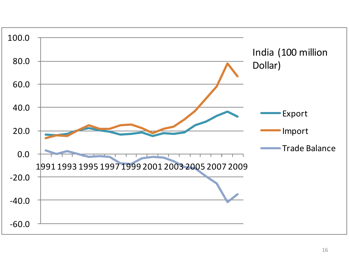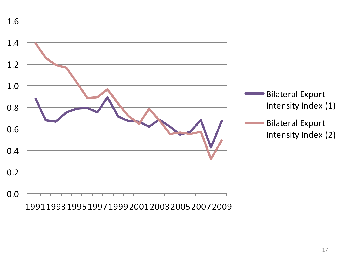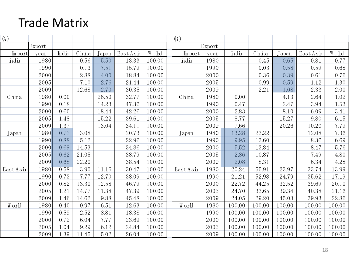#### Trade Matrix

| <b>Trade Matrix</b> |              |              |                |       |                |                  |           |              |               |               |        |               |               |
|---------------------|--------------|--------------|----------------|-------|----------------|------------------|-----------|--------------|---------------|---------------|--------|---------------|---------------|
| (A)                 |              |              |                |       |                |                  | $(\beta)$ |              |               |               |        |               |               |
|                     | Export       |              |                |       |                |                  |           | Export       |               |               |        |               |               |
| In port             | year         | India        | China          | Japan | EastAsia       | W o lrd          | In port   | year         | India         | China         | Japan  | EastAsia      | W o lrd       |
| india               | 1980         |              | 0.56           | 5.50  | 13.33          | 100.00           | ndia      | 1980         |               | 0.45          | 0.65   | 0.81          | 0.77          |
|                     | 1990         |              | 0.13           | 7.51  | 15.79          | 100.00           |           | 1990         |               | 0.03          | 0.58   | 0.59          | 0.68          |
|                     | 2000         |              | 2.88           | 4.00  | 18.84          | 100.00           |           | 2000         |               | 0.36          | 0.39   | 0.61          | 0.76          |
|                     | 2005         |              | 7.10           | 2.76  | 21.44          | 100.00           |           | 2005         |               | 0.99          | 0.59   | 1.12          | 1.30          |
|                     | 2009         |              | 12.68          | 2.70  | 30.35          | 100.00           |           | 2009         |               | 2.21          | 1.08   | 2.33          | 2.00          |
| China               | 1980         | 0.00         |                | 26.50 | 32.77          | 100.00           | China     | 1980         | 0.00          |               | 4.13   | 2.64          | 1.02          |
|                     | 1990         | 0.18         |                | 14.23 | 47.36          | 100.00           |           | 1990         | 0.47          |               | 2.47   | 3.94          | 1.53          |
|                     | 2000         | 0.60         |                | 18.44 | 42.26          | 100.00           |           | 2000         | 2.83          |               | 8.10   | 6.09          | 3.41          |
|                     | 2005         | 1.48         |                | 15.22 | 39.61          | 100.00           |           | 2005         | 8.77          |               | 15.27  | 9.80          | 6.15          |
|                     | 2009         | 1.37         |                | 13.04 | 34.11          | 100.00           |           | 2009         | 7.66          |               | 20.26  | 10.20         | 7.79          |
| Japan               | 1980         | 0.72         | 3.08           |       | 20.73          | 100.00           | Japan     | 1980         | 13.28         | 23.22         |        | 12.08         | 7.36          |
|                     | 1990         | 0.88         | 5.12           |       | 22.96          | 100.00           |           | 1990         | 9.95          | 13.60         |        | 8.36          | 6.69          |
|                     | 2000         | 0.69         | 14.53          |       | 34.86          | 100.00           |           | 2000         | 5.52          | 13.84         |        | 8.47          | 5.76          |
|                     | 2005<br>2009 | 0.62<br>0.68 | 21.05<br>22.20 |       | 38.79          | 100.00           |           | 2005<br>2009 | 2.86          | 10.87         |        | 7.49          | 4.80          |
| EastAsia            | 1980         | 0.58         | 3.90           | 11.16 | 38.54<br>30.47 | 100.00<br>100.00 | EastAsia  | 1980         | 2.08<br>20.24 | 8.31<br>55.91 | 23.97  | 6.34<br>33.74 | 4.28<br>13.99 |
|                     | 1990         | 0.73         | 7.77           | 12.70 | 38.09          | 100.00           |           | 1990         | 21.21         | 52.98         | 24.79  | 35.62         | 17.19         |
|                     | 2000         | 0.82         | 13.30          | 12.58 | 46.79          | 100.00           |           | 2000         | 22.72         | 44.25         | 32.52  | 39.69         | 20.10         |
|                     | 2005         | 1.21         | 14.77          | 11.38 | 47.39          | 100.00           |           | 2005         | 24.70         | 33.65         | 39.34  | 40.38         | 21.16         |
|                     | 2009         | 1.46         | 14.62          | 9.88  | 45.48          | 100.00           |           | 2009         | 24.05         | 29.20         | 45.03  | 39.93         | 22.86         |
| World               | 1980         | 0.40         | 0.97           | 6.51  | 12.63          | 100.00           | World     | 1980         | 100.00        | 100.00        | 100.00 | 100.00        | 100.00        |
|                     | 1990         | 0.59         | 2.52           | 8.81  | 18.38          | 100.00           |           | 1990         | 100.00        | 100.00        | 100.00 | 100.00        | 100.00        |
|                     | 2000         | 0.72         | 6.04           | 7.77  | 23.69          | 100.00           |           | 2000         | 100.00        | 100.00        | 100.00 | 100.00        | 100.00        |
|                     | 2005         | 1.04         | 9.29           | 6.12  | 24.84          | 100.00           |           | 2005         | 100.00        | 100.00        | 100.00 | 100.00        | 100.00        |
|                     | 2009         | 1.39         | 11.45          | 5.02  | 26.04          | 100.00           |           | 2009         | 100.00        | 100.00        | 100.00 | 100.00        | 100.00        |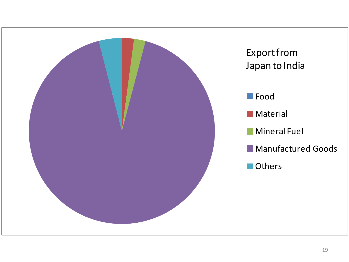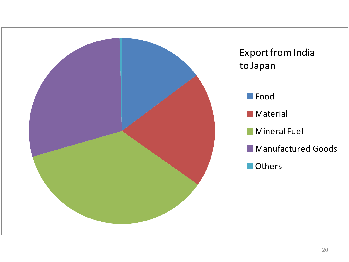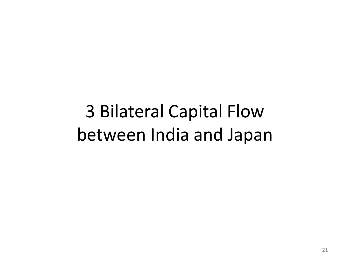3 Bilateral Capital Flow between India and Japan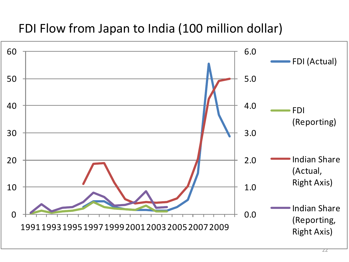#### FDI Flow from Japan to India (100 million dollar)

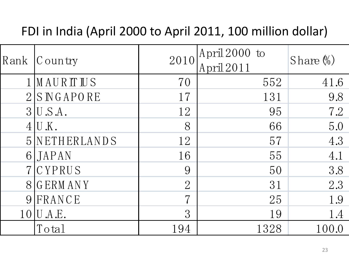### FDI in India (April 2000 to April 2011, 100 million dollar)

| FDI in India (April 2000 to April 2011, 100 million dollar) |                             |                |                               |              |  |
|-------------------------------------------------------------|-----------------------------|----------------|-------------------------------|--------------|--|
| Rank                                                        | C ountry                    | 2010           | April $2000$ to<br>April 2011 | Share $\%$ ) |  |
|                                                             | 1 MAURITUS                  | 70             | 552                           | 41.6         |  |
| 2 <sup>1</sup>                                              | SNGAPORE                    | 17             | 131                           | 9.8          |  |
|                                                             | $3$  U.S.A.                 | 12             | 95                            | 7.2          |  |
| 4 <sup>1</sup>                                              | $\overline{\mathrm{U}}$ .K. | 8              | 66                            | 5.0          |  |
| 5 <sup>1</sup>                                              | NETHERLANDS                 | 12             | 57                            | 4.3          |  |
| 6 <sup>1</sup>                                              | JAPAN                       | 16             | 55                            | 4.1          |  |
|                                                             | CYPRUS                      | 9              | 50                            | 3.8          |  |
|                                                             | 8 GERMANY                   | $\overline{2}$ | 31                            | 2.3          |  |
| 9                                                           | FRANCE                      | $\overline{7}$ | 25                            | 1.9          |  |
| 10 <sup>1</sup>                                             | U.A.E.                      | 3              | 19                            | 1.4          |  |
|                                                             | Total                       | 194            | 1328                          | 100.0        |  |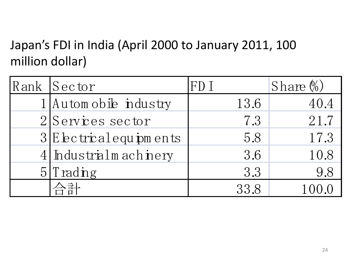### Japan's FDI in India (April 2000 to January 2011, 100 million dollar)

| Japan 5 F DF III Mula (April 2000 to January 2011, 100<br>million dollar) |                            |      |              |  |  |
|---------------------------------------------------------------------------|----------------------------|------|--------------|--|--|
|                                                                           | Rank Sector                | FD I | Share $\%$ ) |  |  |
|                                                                           | 1 Automobile industry      | 13.6 | 40.4         |  |  |
|                                                                           | $2 S$ ervices sector       | 7.3  | 21.7         |  |  |
|                                                                           | $3 E$ be trical equipments | 5.8  | 17.3         |  |  |
|                                                                           | 4 Industrialm achinery     | 3.6  | 10.8         |  |  |
| 5 <sub>l</sub>                                                            | Trading                    | 3.3  | 9.8          |  |  |
|                                                                           |                            | 33.8 | 100.0        |  |  |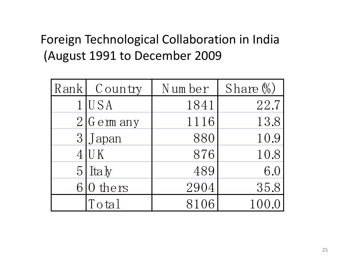### Foreign Technological Collaboration in India (August 1991 to December 2009

|   | Rank Country | Number | Share $\%$ ) |
|---|--------------|--------|--------------|
|   | $1$ USA      | 1841   | 22.7         |
|   | $2 G$ em any | 1116   | 13.8         |
|   | 3 Japan      | 880    | 10.9         |
|   | $4$ U K      | 876    | 10.8         |
| 5 | Italy        | 489    | 6.0          |
| 6 | 0 thers      | 2904   | 35.8         |
|   | Total        | 8106   | 100          |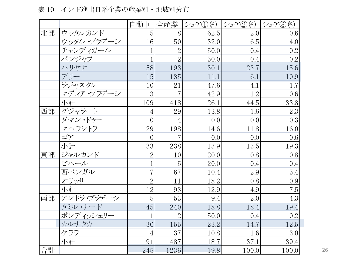白動車 全産業 |シェア①(%) |シェア②(%) |シェア③(%) 北部 | ウッタルカンド | 5 | 8 | 62.5 | 2.0 | 0.6 イント進山ロボ正未の産未別・地域別カ和<br>
- 自動車 全産業 シェア① %)シェア② (%) シェア③ (%)<br>ウッタル・プラデーシ - 16 50 32.0 6.5 4.0<br>
チェンデ - 16 50 32.0 6.5 4.0 チャンディガール | 1 2 50.0 0.4 0.2 パンジャブ  $|$  1 2 50.0 0.4 0.2  $\begin{array}{ccccccccc} \n\hline\n\text{1} & \text{1} & \text{1} & \text{1} & \text{1} & \text{1} & \text{1} & \text{1} & \text{1} & \text{1} & \text{1} & \text{1} & \text{1} & \text{1} & \text{1} & \text{1} & \text{1} & \text{1} & \text{1} & \text{1} & \text{1} & \text{1} & \text{1} & \text{1} & \text{1} & \text{1}$  $\begin{tabular}{|c|c|c|c|c|c|c|c|c|} \hline $\mathcal{F}$+&$\mathcal{V}$& $\mathcal{T}$& $1$ & $2$ & $50.0$ & $0.4$ & $0.2$ \\ $\mathcal{N}$& $\mathcal{V}$& $1$ & $2$ & $50.0$ & $0.4$ & $0.2$ \\ $\mathcal{N}$& $\mathcal{V}$& $1$ & $2$ & $50.0$ & $0.4$ & $0.2$ \\ $\mathcal{N}$& $\mathcal{V}$& $58$ & $193$ & $30.1$ & $23.7$ & $15.6$ \\ $\mathcal{F}$& $1$ & $15$$  $\begin{array}{c|cccc} \hline \sqrt{3} & \sqrt{3} & \sqrt{7} & \sqrt{7} & 1 & 2 & 50.0 & 0.4 & 0.2 \\ \hline \sqrt{3} & \sqrt{3} & \sqrt{7} & 58 & 193 & 30.1 & 23.7 & 15.6 \\ \hline \end{array}$ マディア・プラデーシ 3 7 42.9 1.2 0.6 小計 109 418 26.1 44.5 33.8 ーニューコーローコーローコーローコーローコー<br>
ラジャスタン 10 21 47.6 4.1 1.7<br>
マディア・プラデーシ 3 7 42.9 1.2 0.6<br>
小計 109 418 26.1 44.5 33.8<br>
西部 グジャラート 4 29 13.8 1.6 2.3 ダマン・ドゥー | 0 4 0.0 0.0 0.0 0.3  $\begin{array}{c|cccc} \hline \sqrt{11} & 109 & 418 & 26.1 & 44.5 & 33.8 \\ \hline \sqrt{11} & 109 & 418 & 26.1 & 44.5 & 33.8 \\ \hline \sqrt{11} & 4 & 29 & 13.8 & 1.6 & 2.3 \\ \hline \sqrt{11} & 0 & 4 & 0.0 & 0.0 & 0.3 \\ \hline \sqrt{11} & 0 & 29 & 198 & 14.6 & 11.8 & 16.0 \\ \hline \end{array}$  $\exists \mathcal{T}$  0 0 7 0.0 0.0 0.6  $\begin{array}{c|cccc} \hline \big\langle \vec{\mathsf{y}} \neg \big\langle \mathsf{y} \rangle \cdot \mathsf{F} \big\langle \mathsf{y} \rangle & = & 0 & 4 & 0.0 & 0.0 & 0.3 \\ \hline \big\langle \neg \big\langle \mathsf{y} \rangle \cdot \mathsf{F} \big\rangle & = & 29 & 198 & 14.6 & 11.8 & 16.0 \\ \hline \hline \big\langle \mathsf{y} \rangle & = & 0 & 7 & 0.0 & 0.0 & 0.6 \\ \hline \hline \big\langle \mathsf{y} \rangle & = & 33 & 238 &$  $\begin{tabular}{|c|c|c|c|c|c|c|c|} \hline $\varphi\wedge\bar{\varphi}\dot{\vee}\dot{\varphi}$ & $\ \, 29$ & $\, 198$ & $\, 14.6$ & $\, 11.8$ & $\, 16.0$ \\ \hline $\varphi\dot{\varphi}$ & $\ \, 0$ & $\, 7$ & $\, 0.0$ & $\, 0.0$ & $\, 0.6$ \\ \hline $\bar{\psi}\ddot{\varphi}$ & $\ \, 33$ & $\, 238$ & $\, 13.9$ & $\, 13.5$ & $\, 19.3$ \\ \hline $\bar{\mathfrak{R}}\box$ ビハール  $| 1 | 5 | 20.0 | 0.4 | 0.4$  $\begin{tabular}{|c|c|c|c|c|c|c|c|} \hline $\sqrt$ \hat{\#}$ & $\hspace{0.3cm} $33$ & $\hspace{0.3cm} $238$ & $\hspace{0.3cm} $13.9$ & $\hspace{0.3cm} $13.5$ & $\hspace{0.3cm} $19.3$ \\ $\ddot{\lor}\gamma\nu\lrcorner\lrcorner\lrcorner\lrcorner$ & $\hspace{0.3cm} $2$ & $\hspace{0.3cm} $10$ & $\hspace{0.3cm} $20.0$ & $\hspace{0.3cm} $0.8$ & $\hspace{0.3cm} $0.8$ \\ $\ddot$  $\begin{array}{c|cccc} \hline \text{Lip} & \text{Lip} & \text{Lip} & \text{Lip} & \text{Lip} \\ \hline \text{Lip} & \text{Lip} & \text{Lip} & \text{Lip} & \text{Lip} & \text{Lip} \\ \hline \text{Lip} & \text{Lip} & \text{Lip} & \text{Lip} & \text{Lip} & \text{Lip} \\ \hline \text{Lip} & \text{Lip} & \text{Lip} & \text{Lip} & \text{Lip} & \text{Lip} & \text{Lip} \\ \hline \text{Lip} & \text{Lip} & \text{Lip} & \text{Lip} &$ 小計 1 2 9 3 12.9 4.9 7.5 南部 アンドラ・プラデーシ <sup>5</sup> 5 3 9.4 2.0 4.3  $\frac{7}{12}$  12 2 3 3 12.9 2.0 3 0.9<br>
7ンドラ・プラデーシ 5 53 9.4 2.0 4.3<br>
タミル・ナード 45 240 18.8 18.4 19.4<br>
ポ、デ、ベントル 1 2 5 53 9.4 2.0 4.3  $\forall x \forall y \forall y \forall z$  1 2 50.0 0.4 0.2  $\begin{array}{c|cccc} \hline \text{7$\times$}\text{K}\text{7$\times$} \text{7$\times$} \text{7$\times$} \text{7$\times$} \text{7$\times$} \text{7$\times$} \text{7$\times$} \text{7$\times$} \text{7$\times$} \text{7$\times$} \text{7$\times$} \text{7$\times$} \text{7$\times$} \text{7$\times$} \text{7$\times$} \text{8$\times$} \text{8$\times$} \text{9.4} & 2.0 & 4.3 \\ \hline \text{1001} & 4.3 & 240 & 18.8 & 18.4 & 19.4 \\ \text{$  $\begin{array}{c|cccc} \hline \sqrt{3} & \sqrt{3} & \sqrt{3} & \sqrt{3} & \sqrt{3} & \sqrt{3} \\ \sqrt{3} & \sqrt{3} & \sqrt{3} & \sqrt{3} & \sqrt{3} \\ \sqrt{3} & \sqrt{3} & \sqrt{3} & \sqrt{3} \\ \hline \sqrt{3} & \sqrt{3} & \sqrt{3} & \sqrt{3} \\ \hline \sqrt{3} & \sqrt{3} & \sqrt{3} & \sqrt{3} \\ \hline \sqrt{3} & \sqrt{3} & \sqrt{3} & \sqrt{3} \\ \hline \sqrt{3} & \sqrt{3} & \sqrt{3} & \sqrt{3} \\ \hline \sqrt{3} & \$  $\begin{tabular}{c|cccccc} $\pi\ddots\searrow\ddots\searrow\ddots\searrow\psi\searrow\pm 1$ & $\,2$ & $\,50.0$ & $\,0.4$ & $\,0.2$ \\ $\pi\ddot{\psi}\ddot{\psi}\dot{\psi}\dot{\psi}\dot{\psi}\dot{\psi}\dot{\psi} \end{tabular} \hspace{1.2cm} \begin{tabular}{c} $1$ & $\,2$ & $\,50.0$ & $\,0.4$ & $\,0.2$ \\ $36$ & $\,155$ & $\,23.2$ & $\,14.7$ & $\,12.5$ \\ $\,\phi\ddot{\psi}\ddot{\psi}\ddot{\psi}\dot{\psi} \end{tabular$ 合計 | 245 1236 19.8 100.0 100.0 26

表 10 インド進出日系企業の産業別・地域別分布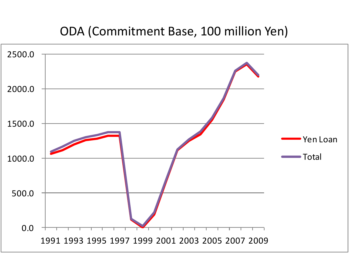#### ODA (Commitment Base, 100 million Yen)

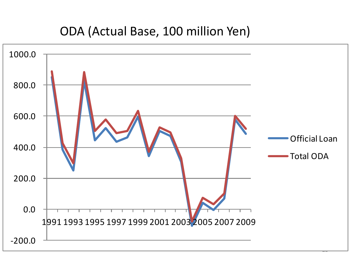#### ODA (Actual Base, 100 million Yen)

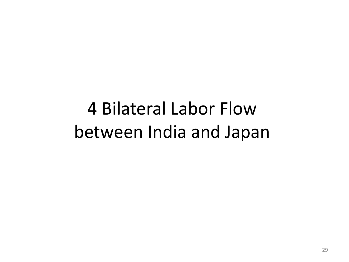4 Bilateral Labor Flow between India and Japan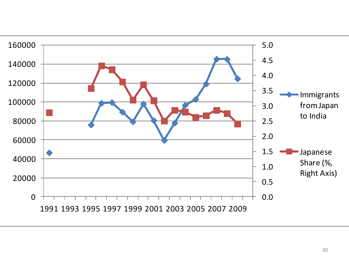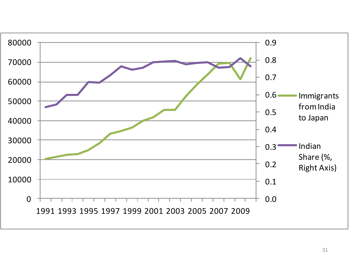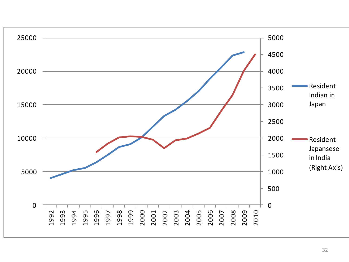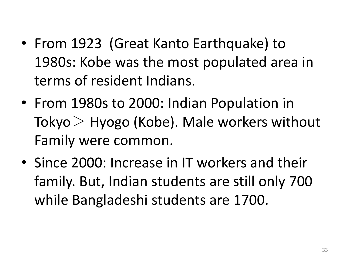- From 1923 (Great Kanto Earthquake) to 1980s: Kobe was the most populated area in terms of resident Indians.
- From 1980s to 2000: Indian Population in Tokyo  $>$  Hyogo (Kobe). Male workers without Family were common.
- Since 2000: Increase in IT workers and their family. But, Indian students are still only 700 while Bangladeshi students are 1700.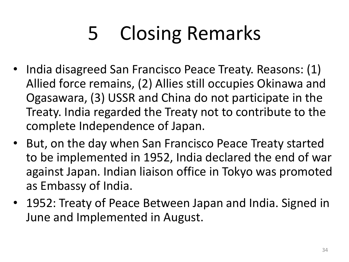# 5 Closing Remarks

- India disagreed San Francisco Peace Treaty. Reasons: (1) Allied force remains, (2) Allies still occupies Okinawa and Ogasawara, (3) USSR and China do not participate in the Treaty. India regarded the Treaty not to contribute to the complete Independence of Japan.
- But, on the day when San Francisco Peace Treaty started to be implemented in 1952, India declared the end of war against Japan. Indian liaison office in Tokyo was promoted as Embassy of India.
- 1952: Treaty of Peace Between Japan and India. Signed in June and Implemented in August.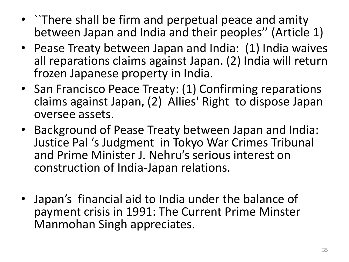- ``There shall be firm and perpetual peace and amity between Japan and India and their peoples'' (Article 1)
- Pease Treaty between Japan and India: (1) India waives all reparations claims against Japan. (2) India will return frozen Japanese property in India.
- San Francisco Peace Treaty: (1) Confirming reparations claims against Japan, (2) Allies' Right to dispose Japan oversee assets.
- Background of Pease Treaty between Japan and India: Justice Pal 's Judgment in Tokyo War Crimes Tribunal and Prime Minister J. Nehru's serious interest on construction of India-Japan relations.
- Japan's financial aid to India under the balance of payment crisis in 1991: The Current Prime Minster Manmohan Singh appreciates.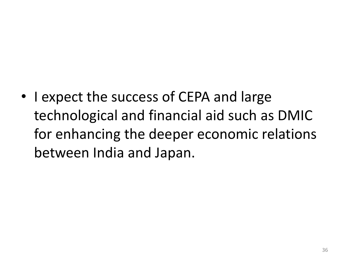• I expect the success of CEPA and large technological and financial aid such as DMIC for enhancing the deeper economic relations between India and Japan.